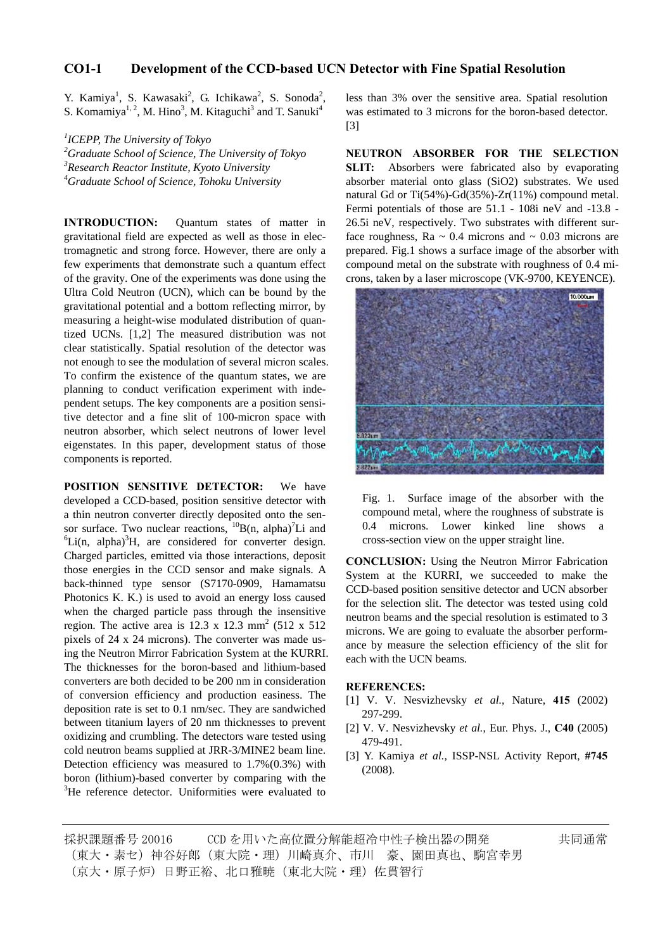# **CO1-1 Development of the CCD-based UCN Detector with Fine Spatial Resolution**

Y. Kamiya<sup>1</sup>, S. Kawasaki<sup>2</sup>, G. Ichikawa<sup>2</sup>, S. Sonoda<sup>2</sup>, S. Komamiya<sup>1, 2</sup>, M. Hino<sup>3</sup>, M. Kitaguchi<sup>3</sup> and T. Sanuki<sup>4</sup>

 *ICEPP, The University of Tokyo Graduate School of Science, The University of Tokyo Research Reactor Institute, Kyoto University Graduate School of Science, Tohoku University*

**INTRODUCTION:** Quantum states of matter in gravitational field are expected as well as those in electromagnetic and strong force. However, there are only a few experiments that demonstrate such a quantum effect of the gravity. One of the experiments was done using the Ultra Cold Neutron (UCN), which can be bound by the gravitational potential and a bottom reflecting mirror, by measuring a height-wise modulated distribution of quantized UCNs. [1,2] The measured distribution was not clear statistically. Spatial resolution of the detector was not enough to see the modulation of several micron scales. To confirm the existence of the quantum states, we are planning to conduct verification experiment with independent setups. The key components are a position sensitive detector and a fine slit of 100-micron space with neutron absorber, which select neutrons of lower level eigenstates. In this paper, development status of those components is reported.

**POSITION SENSITIVE DETECTOR:** We have developed a CCD-based, position sensitive detector with a thin neutron converter directly deposited onto the sensor surface. Two nuclear reactions,  ${}^{10}B(n, alpha)^{7}Li$  and  ${}^{6}I$  i.i.e. alpha)<sup>3</sup><sub>L1</sub> are considered for converting design Li(n, alpha) ${}^{3}H$ , are considered for converter design. Charged particles, emitted via those interactions, deposit those energies in the CCD sensor and make signals. A back-thinned type sensor (S7170-0909, Hamamatsu Photonics K. K.) is used to avoid an energy loss caused when the charged particle pass through the insensitive region. The active area is  $12.3 \times 12.3 \text{ mm}^2$  (512 x 512) pixels of 24 x 24 microns). The converter was made using the Neutron Mirror Fabrication System at the KURRI. The thicknesses for the boron-based and lithium-based converters are both decided to be 200 nm in consideration of conversion efficiency and production easiness. The deposition rate is set to 0.1 nm/sec. They are sandwiched between titanium layers of 20 nm thicknesses to prevent oxidizing and crumbling. The detectors ware tested using cold neutron beams supplied at JRR-3/MINE2 beam line. Detection efficiency was measured to 1.7%(0.3%) with boron (lithium)-based converter by comparing with the  ${}^{3}$ He reference detector. Uniformities were evaluated to

less than 3% over the sensitive area. Spatial resolution was estimated to 3 microns for the boron-based detector. [3]

**NEUTRON ABSORBER FOR THE SELECTION SLIT:** Absorbers were fabricated also by evaporating absorber material onto glass (SiO2) substrates. We used natural Gd or Ti(54%)-Gd(35%)-Zr(11%) compound metal. Fermi potentials of those are 51.1 - 108i neV and -13.8 - 26.5i neV, respectively. Two substrates with different surface roughness,  $Ra \sim 0.4$  microns and  $\sim 0.03$  microns are prepared. Fig.1 shows a surface image of the absorber with compound metal on the substrate with roughness of 0.4 microns, taken by a laser microscope (VK-9700, KEYENCE).



Fig. 1. Surface image of the absorber with the compound metal, where the roughness of substrate is 0.4 microns. Lower kinked line shows a cross-section view on the upper straight line.

**CONCLUSION:** Using the Neutron Mirror Fabrication System at the KURRI, we succeeded to make the CCD-based position sensitive detector and UCN absorber for the selection slit. The detector was tested using cold neutron beams and the special resolution is estimated to 3 microns. We are going to evaluate the absorber performance by measure the selection efficiency of the slit for each with the UCN beams.

#### **REFERENCES:**

- [1] V. V. Nesvizhevsky *et al.*, Nature, **415** (2002) 297-299.
- [2] V. V. Nesvizhevsky *et al.*, Eur. Phys. J., **C40** (2005) 479-491.
- [3] Y. Kamiya *et al.*, ISSP-NSL Activity Report, **#745** (2008).

採択課題番号 20016 CCD を用いた高位置分解能超冷中性子検出器の開発 + キ同通常 (東大・素セ)神谷好郎(東大院・理)川崎真介、市川 豪、園田真也、駒宮幸男 (京大・原子炉) 日野正裕、北口雅暁 (東北大院・理) 佐貫智行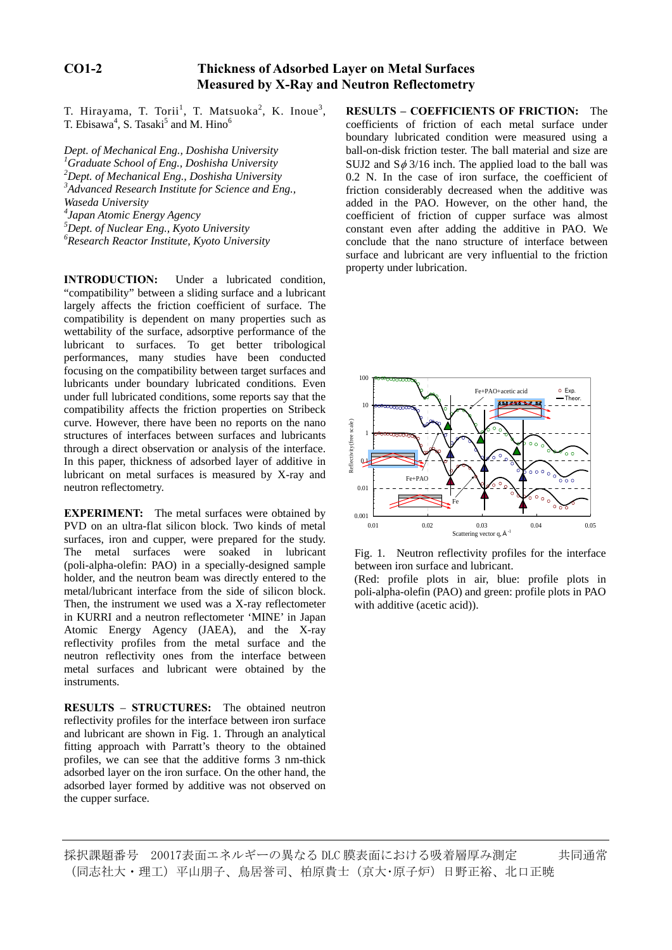# **CO1-2 Thickness of Adsorbed Layer on Metal Surfaces Measured by X-Ray and Neutron Reflectometry**

T. Hirayama, T. Torii<sup>1</sup>, T. Matsuoka<sup>2</sup>, K. Inoue<sup>3</sup> T. Ebisawa<sup>4</sup>, S. Tasaki<sup>5</sup> and M. Hino<sup>6</sup>

*Dept. of Mechanical Eng., Doshisha University Graduate School of Eng., Doshisha University Dept. of Mechanical Eng., Doshisha University Advanced Research Institute for Science and Eng., Waseda University Japan Atomic Energy Agency Dept. of Nuclear Eng., Kyoto University Research Reactor Institute, Kyoto University*

**INTRODUCTION:** Under a lubricated condition, "compatibility" between a sliding surface and a lubricant largely affects the friction coefficient of surface. The compatibility is dependent on many properties such as wettability of the surface, adsorptive performance of the lubricant to surfaces. To get better tribological performances, many studies have been conducted focusing on the compatibility between target surfaces and lubricants under boundary lubricated conditions. Even under full lubricated conditions, some reports say that the compatibility affects the friction properties on Stribeck curve. However, there have been no reports on the nano structures of interfaces between surfaces and lubricants through a direct observation or analysis of the interface. In this paper, thickness of adsorbed layer of additive in lubricant on metal surfaces is measured by X-ray and neutron reflectometry.

**EXPERIMENT:** The metal surfaces were obtained by PVD on an ultra-flat silicon block. Two kinds of metal surfaces, iron and cupper, were prepared for the study. The metal surfaces were soaked in lubricant (poli-alpha-olefin: PAO) in a specially-designed sample holder, and the neutron beam was directly entered to the metal/lubricant interface from the side of silicon block. Then, the instrument we used was a X-ray reflectometer in KURRI and a neutron reflectometer 'MINE' in Japan Atomic Energy Agency (JAEA), and the X-ray reflectivity profiles from the metal surface and the neutron reflectivity ones from the interface between metal surfaces and lubricant were obtained by the instruments.

**RESULTS** – **STRUCTURES:** The obtained neutron reflectivity profiles for the interface between iron surface and lubricant are shown in Fig. 1. Through an analytical fitting approach with Parratt's theory to the obtained profiles, we can see that the additive forms 3 nm-thick adsorbed layer on the iron surface. On the other hand, the adsorbed layer formed by additive was not observed on the cupper surface.

, **RESULTS – COEFFICIENTS OF FRICTION:** The coefficients of friction of each metal surface under boundary lubricated condition were measured using a ball-on-disk friction tester. The ball material and size are SUJ2 and  $S\phi$  3/16 inch. The applied load to the ball was 0.2 N. In the case of iron surface, the coefficient of friction considerably decreased when the additive was added in the PAO. However, on the other hand, the coefficient of friction of cupper surface was almost constant even after adding the additive in PAO. We conclude that the nano structure of interface between surface and lubricant are very influential to the friction property under lubrication.



Fig. 1. Neutron reflectivity profiles for the interface between iron surface and lubricant.

(Red: profile plots in air, blue: profile plots in poli-alpha-olefin (PAO) and green: profile plots in PAO with additive (acetic acid)).

採択課題番号 20017表面エネルギーの異なる DLC 膜表面における吸着層厚み測定 共同通常 (同志社大・理工)平山朋子、鳥居誉司、柏原貴士(京大・原子炉)日野正裕、北口正暁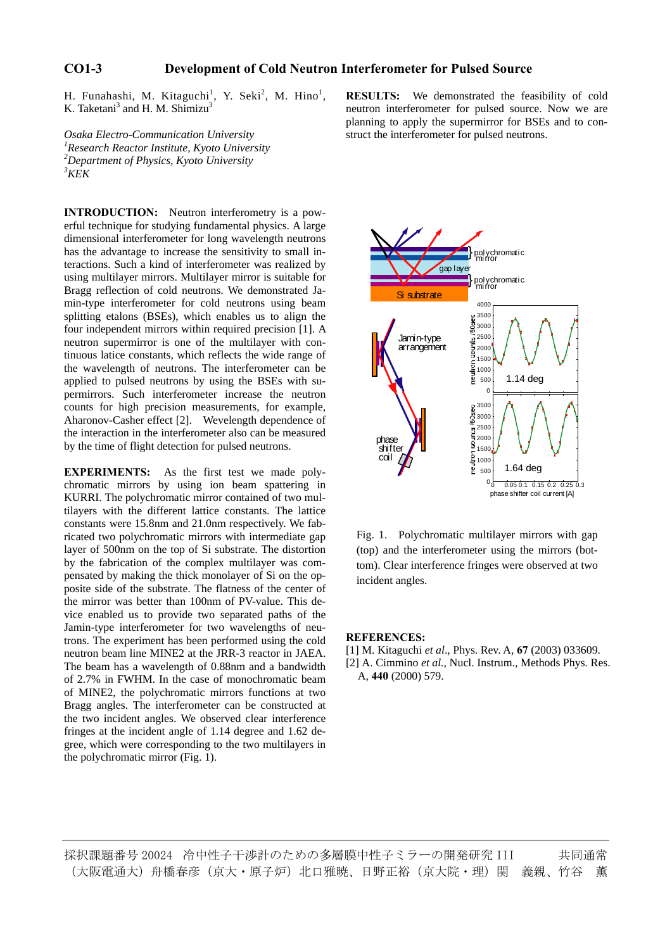### **CO1-3 Development of Cold Neutron Interferometer for Pulsed Source**

H. Funahashi, M. Kitaguchi<sup>1</sup>, Y. Seki<sup>2</sup>, M. Hino<sup>1</sup> K. Taketani<sup>3</sup> and H. M. Shimizu<sup>3</sup>

*Osaka Electro-Communication University 1 Research Reactor Institute, Kyoto University 2 Department of Physics, Kyoto University 3 KEK* 

**INTRODUCTION:** Neutron interferometry is a powerful technique for studying fundamental physics. A large dimensional interferometer for long wavelength neutrons has the advantage to increase the sensitivity to small interactions. Such a kind of interferometer was realized by using multilayer mirrors. Multilayer mirror is suitable for Bragg reflection of cold neutrons. We demonstrated Jamin-type interferometer for cold neutrons using beam splitting etalons (BSEs), which enables us to align the four independent mirrors within required precision [1]. A neutron supermirror is one of the multilayer with continuous latice constants, which reflects the wide range of the wavelength of neutrons. The interferometer can be applied to pulsed neutrons by using the BSEs with supermirrors. Such interferometer increase the neutron counts for high precision measurements, for example, Aharonov-Casher effect [2]. Wevelength dependence of the interaction in the interferometer also can be measured by the time of flight detection for pulsed neutrons.

**EXPERIMENTS:** As the first test we made polychromatic mirrors by using ion beam spattering in KURRI. The polychromatic mirror contained of two multilayers with the different lattice constants. The lattice constants were 15.8nm and 21.0nm respectively. We fabricated two polychromatic mirrors with intermediate gap layer of 500nm on the top of Si substrate. The distortion by the fabrication of the complex multilayer was compensated by making the thick monolayer of Si on the opposite side of the substrate. The flatness of the center of the mirror was better than 100nm of PV-value. This device enabled us to provide two separated paths of the Jamin-type interferometer for two wavelengths of neutrons. The experiment has been performed using the cold neutron beam line MINE2 at the JRR-3 reactor in JAEA. The beam has a wavelength of 0.88nm and a bandwidth of 2.7% in FWHM. In the case of monochromatic beam of MINE2, the polychromatic mirrors functions at two Bragg angles. The interferometer can be constructed at the two incident angles. We observed clear interference fringes at the incident angle of 1.14 degree and 1.62 degree, which were corresponding to the two multilayers in the polychromatic mirror (Fig. 1).

, **RESULTS:** We demonstrated the feasibility of cold neutron interferometer for pulsed source. Now we are planning to apply the supermirror for BSEs and to construct the interferometer for pulsed neutrons.



Fig. 1. Polychromatic multilayer mirrors with gap (top) and the interferometer using the mirrors (bottom). Clear interference fringes were observed at two incident angles.

#### **REFERENCES:**

[1] M. Kitaguchi *et al*., Phys. Rev. A, **67** (2003) 033609. [2] A. Cimmino *et al.*, Nucl. Instrum., Methods Phys. Res.

A, **440** (2000) 579.

採択課題番号 20024 冷中性子干渉計のための多層膜中性子ミラーの開発研究 III 共同通常 (大阪電通大)舟橋春彦(京大・原子炉)北口雅暁、日野正裕(京大院・理)関 義親、竹谷 薫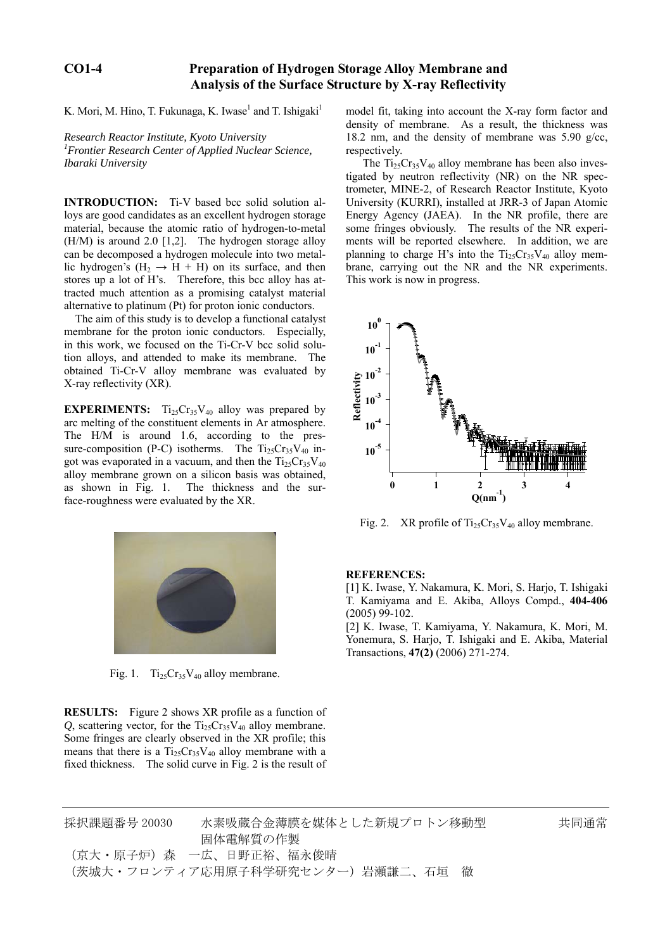### **CO1-4 Preparation of Hydrogen Storage Alloy Membrane and Analysis of the Surface Structure by X-ray Reflectivity**

K. Mori, M. Hino, T. Fukunaga, K. Iwase<sup>1</sup> and T. Ishigaki<sup>1</sup>

*Research Reactor Institute, Kyoto University 1 Frontier Research Center of Applied Nuclear Science, Ibaraki University* 

**INTRODUCTION:** Ti-V based bcc solid solution alloys are good candidates as an excellent hydrogen storage material, because the atomic ratio of hydrogen-to-metal (H/M) is around 2.0 [1,2]. The hydrogen storage alloy can be decomposed a hydrogen molecule into two metallic hydrogen's  $(H_2 \rightarrow H + H)$  on its surface, and then stores up a lot of H's. Therefore, this bcc alloy has attracted much attention as a promising catalyst material alternative to platinum (Pt) for proton ionic conductors.

 The aim of this study is to develop a functional catalyst membrane for the proton ionic conductors. Especially, in this work, we focused on the Ti-Cr-V bcc solid solution alloys, and attended to make its membrane. The obtained Ti-Cr-V alloy membrane was evaluated by X-ray reflectivity (XR).

**EXPERIMENTS:**  $Ti_{25}Cr_{35}V_{40}$  alloy was prepared by arc melting of the constituent elements in Ar atmosphere. The H/M is around 1.6, according to the pressure-composition (P-C) isotherms. The  $Ti_{25}Cr_{35}V_{40}$  ingot was evaporated in a vacuum, and then the  $Ti_{25}Cr_{35}V_{40}$ alloy membrane grown on a silicon basis was obtained, as shown in Fig. 1. The thickness and the surface-roughness were evaluated by the XR.



Fig. 1.  $Ti_{25}Cr_{35}V_{40}$  alloy membrane.

**RESULTS:** Figure 2 shows XR profile as a function of  $Q$ , scattering vector, for the  $Ti<sub>25</sub>Cr<sub>35</sub>V<sub>40</sub>$  alloy membrane. Some fringes are clearly observed in the XR profile; this means that there is a  $Ti_{25}Cr_{35}V_{40}$  alloy membrane with a fixed thickness. The solid curve in Fig. 2 is the result of

model fit, taking into account the X-ray form factor and density of membrane. As a result, the thickness was 18.2 nm, and the density of membrane was 5.90 g/cc, respectively.

The  $Ti_{25}Cr_{35}V_{40}$  alloy membrane has been also investigated by neutron reflectivity (NR) on the NR spectrometer, MINE-2, of Research Reactor Institute, Kyoto University (KURRI), installed at JRR-3 of Japan Atomic Energy Agency (JAEA). In the NR profile, there are some fringes obviously. The results of the NR experiments will be reported elsewhere. In addition, we are planning to charge H's into the  $Ti_{25}Cr_{35}V_{40}$  alloy membrane, carrying out the NR and the NR experiments. This work is now in progress.



Fig. 2. XR profile of  $Ti_{25}Cr_{35}V_{40}$  alloy membrane.

**REFERENCES:**

[1] K. Iwase, Y. Nakamura, K. Mori, S. Harjo, T. Ishigaki T. Kamiyama and E. Akiba, Alloys Compd., **404-406**  (2005) 99-102.

[2] K. Iwase, T. Kamiyama, Y. Nakamura, K. Mori, M. Yonemura, S. Harjo, T. Ishigaki and E. Akiba, Material Transactions, **47(2)** (2006) 271-274.

採択課題番号 20030 水素吸蔵合金薄膜を媒体とした新規プロトン移動型 共同通常 固体電解質の作製 (京大・原子炉)森 一広、日野正裕、福永俊晴 (茨城大・フロンティア応用原子科学研究センター)岩瀬謙二、石垣 徹